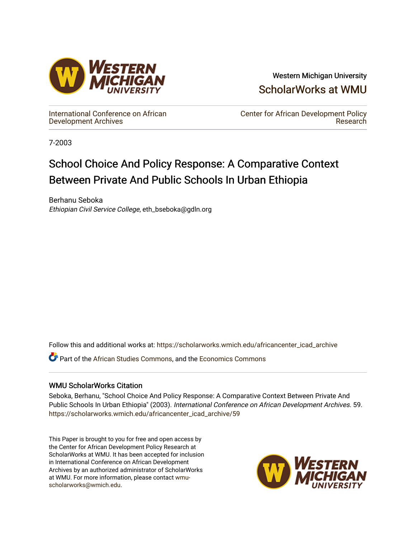

Western Michigan University [ScholarWorks at WMU](https://scholarworks.wmich.edu/) 

[International Conference on African](https://scholarworks.wmich.edu/africancenter_icad_archive) [Development Archives](https://scholarworks.wmich.edu/africancenter_icad_archive)

[Center for African Development Policy](https://scholarworks.wmich.edu/africancenter)  [Research](https://scholarworks.wmich.edu/africancenter) 

7-2003

# School Choice And Policy Response: A Comparative Context Between Private And Public Schools In Urban Ethiopia

Berhanu Seboka Ethiopian Civil Service College, eth\_bseboka@gdln.org

Follow this and additional works at: [https://scholarworks.wmich.edu/africancenter\\_icad\\_archive](https://scholarworks.wmich.edu/africancenter_icad_archive?utm_source=scholarworks.wmich.edu%2Fafricancenter_icad_archive%2F59&utm_medium=PDF&utm_campaign=PDFCoverPages) 

**C** Part of the [African Studies Commons,](http://network.bepress.com/hgg/discipline/1043?utm_source=scholarworks.wmich.edu%2Fafricancenter_icad_archive%2F59&utm_medium=PDF&utm_campaign=PDFCoverPages) and the Economics Commons

# WMU ScholarWorks Citation

Seboka, Berhanu, "School Choice And Policy Response: A Comparative Context Between Private And Public Schools In Urban Ethiopia" (2003). International Conference on African Development Archives. 59. [https://scholarworks.wmich.edu/africancenter\\_icad\\_archive/59](https://scholarworks.wmich.edu/africancenter_icad_archive/59?utm_source=scholarworks.wmich.edu%2Fafricancenter_icad_archive%2F59&utm_medium=PDF&utm_campaign=PDFCoverPages)

This Paper is brought to you for free and open access by the Center for African Development Policy Research at ScholarWorks at WMU. It has been accepted for inclusion in International Conference on African Development Archives by an authorized administrator of ScholarWorks at WMU. For more information, please contact [wmu](mailto:wmu-scholarworks@wmich.edu)[scholarworks@wmich.edu.](mailto:wmu-scholarworks@wmich.edu)

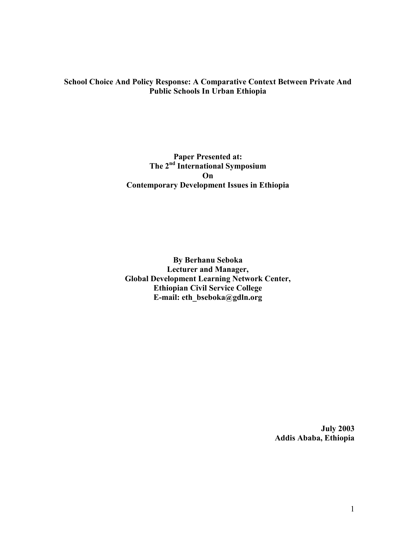# School Choice And Policy Response: A Comparative Context Between Private And Public Schools In Urban Ethiopia

# Paper Presented at: The 2<sup>nd</sup> International Symposium On Contemporary Development Issues in Ethiopia

By Berhanu Seboka Lecturer and Manager, Global Development Learning Network Center, Ethiopian Civil Service College E-mail: eth\_bseboka@gdln.org

> July 2003 Addis Ababa, Ethiopia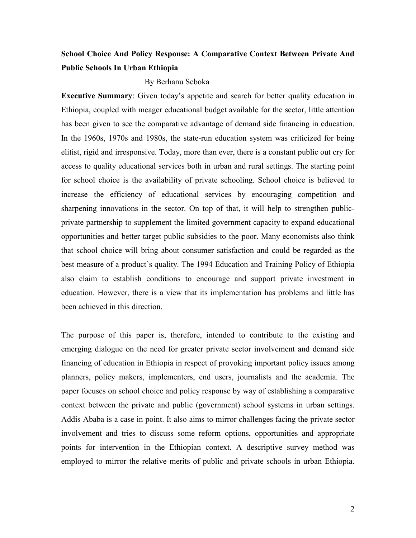# School Choice And Policy Response: A Comparative Context Between Private And Public Schools In Urban Ethiopia

#### By Berhanu Seboka

Executive Summary: Given today's appetite and search for better quality education in Ethiopia, coupled with meager educational budget available for the sector, little attention has been given to see the comparative advantage of demand side financing in education. In the 1960s, 1970s and 1980s, the state-run education system was criticized for being elitist, rigid and irresponsive. Today, more than ever, there is a constant public out cry for access to quality educational services both in urban and rural settings. The starting point for school choice is the availability of private schooling. School choice is believed to increase the efficiency of educational services by encouraging competition and sharpening innovations in the sector. On top of that, it will help to strengthen publicprivate partnership to supplement the limited government capacity to expand educational opportunities and better target public subsidies to the poor. Many economists also think that school choice will bring about consumer satisfaction and could be regarded as the best measure of a product's quality. The 1994 Education and Training Policy of Ethiopia also claim to establish conditions to encourage and support private investment in education. However, there is a view that its implementation has problems and little has been achieved in this direction.

The purpose of this paper is, therefore, intended to contribute to the existing and emerging dialogue on the need for greater private sector involvement and demand side financing of education in Ethiopia in respect of provoking important policy issues among planners, policy makers, implementers, end users, journalists and the academia. The paper focuses on school choice and policy response by way of establishing a comparative context between the private and public (government) school systems in urban settings. Addis Ababa is a case in point. It also aims to mirror challenges facing the private sector involvement and tries to discuss some reform options, opportunities and appropriate points for intervention in the Ethiopian context. A descriptive survey method was employed to mirror the relative merits of public and private schools in urban Ethiopia.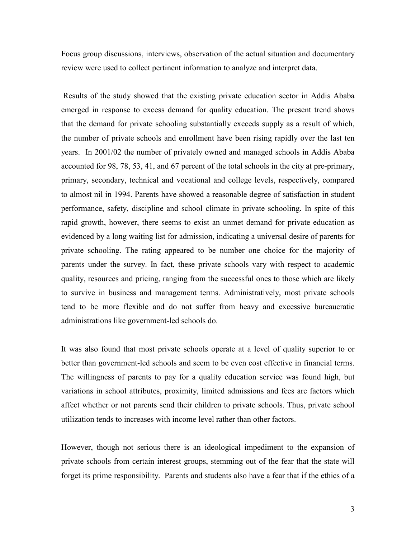Focus group discussions, interviews, observation of the actual situation and documentary review were used to collect pertinent information to analyze and interpret data.

 Results of the study showed that the existing private education sector in Addis Ababa emerged in response to excess demand for quality education. The present trend shows that the demand for private schooling substantially exceeds supply as a result of which, the number of private schools and enrollment have been rising rapidly over the last ten years. In 2001/02 the number of privately owned and managed schools in Addis Ababa accounted for 98, 78, 53, 41, and 67 percent of the total schools in the city at pre-primary, primary, secondary, technical and vocational and college levels, respectively, compared to almost nil in 1994. Parents have showed a reasonable degree of satisfaction in student performance, safety, discipline and school climate in private schooling. In spite of this rapid growth, however, there seems to exist an unmet demand for private education as evidenced by a long waiting list for admission, indicating a universal desire of parents for private schooling. The rating appeared to be number one choice for the majority of parents under the survey. In fact, these private schools vary with respect to academic quality, resources and pricing, ranging from the successful ones to those which are likely to survive in business and management terms. Administratively, most private schools tend to be more flexible and do not suffer from heavy and excessive bureaucratic administrations like government-led schools do.

It was also found that most private schools operate at a level of quality superior to or better than government-led schools and seem to be even cost effective in financial terms. The willingness of parents to pay for a quality education service was found high, but variations in school attributes, proximity, limited admissions and fees are factors which affect whether or not parents send their children to private schools. Thus, private school utilization tends to increases with income level rather than other factors.

However, though not serious there is an ideological impediment to the expansion of private schools from certain interest groups, stemming out of the fear that the state will forget its prime responsibility. Parents and students also have a fear that if the ethics of a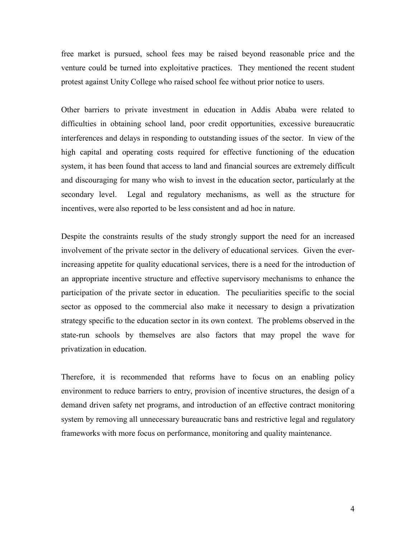free market is pursued, school fees may be raised beyond reasonable price and the venture could be turned into exploitative practices. They mentioned the recent student protest against Unity College who raised school fee without prior notice to users.

Other barriers to private investment in education in Addis Ababa were related to difficulties in obtaining school land, poor credit opportunities, excessive bureaucratic interferences and delays in responding to outstanding issues of the sector. In view of the high capital and operating costs required for effective functioning of the education system, it has been found that access to land and financial sources are extremely difficult and discouraging for many who wish to invest in the education sector, particularly at the secondary level. Legal and regulatory mechanisms, as well as the structure for incentives, were also reported to be less consistent and ad hoc in nature.

Despite the constraints results of the study strongly support the need for an increased involvement of the private sector in the delivery of educational services. Given the everincreasing appetite for quality educational services, there is a need for the introduction of an appropriate incentive structure and effective supervisory mechanisms to enhance the participation of the private sector in education. The peculiarities specific to the social sector as opposed to the commercial also make it necessary to design a privatization strategy specific to the education sector in its own context. The problems observed in the state-run schools by themselves are also factors that may propel the wave for privatization in education.

Therefore, it is recommended that reforms have to focus on an enabling policy environment to reduce barriers to entry, provision of incentive structures, the design of a demand driven safety net programs, and introduction of an effective contract monitoring system by removing all unnecessary bureaucratic bans and restrictive legal and regulatory frameworks with more focus on performance, monitoring and quality maintenance.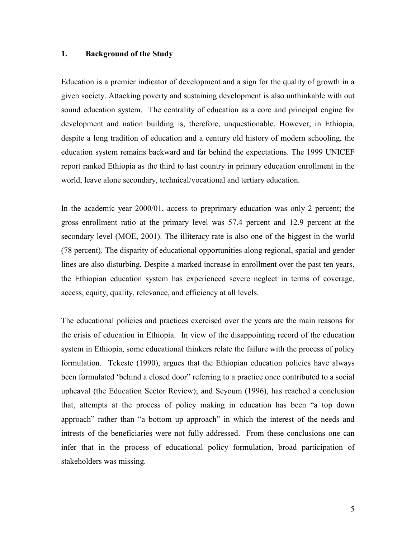# 1. Background of the Study

Education is a premier indicator of development and a sign for the quality of growth in a given society. Attacking poverty and sustaining development is also unthinkable with out sound education system. The centrality of education as a core and principal engine for development and nation building is, therefore, unquestionable. However, in Ethiopia, despite a long tradition of education and a century old history of modern schooling, the education system remains backward and far behind the expectations. The 1999 UNICEF report ranked Ethiopia as the third to last country in primary education enrollment in the world, leave alone secondary, technical/vocational and tertiary education.

In the academic year 2000/01, access to preprimary education was only 2 percent; the gross enrollment ratio at the primary level was 57.4 percent and 12.9 percent at the secondary level (MOE, 2001). The illiteracy rate is also one of the biggest in the world (78 percent). The disparity of educational opportunities along regional, spatial and gender lines are also disturbing. Despite a marked increase in enrollment over the past ten years, the Ethiopian education system has experienced severe neglect in terms of coverage, access, equity, quality, relevance, and efficiency at all levels.

The educational policies and practices exercised over the years are the main reasons for the crisis of education in Ethiopia. In view of the disappointing record of the education system in Ethiopia, some educational thinkers relate the failure with the process of policy formulation. Tekeste (1990), argues that the Ethiopian education policies have always been formulated 'behind a closed door" referring to a practice once contributed to a social upheaval (the Education Sector Review); and Seyoum (1996), has reached a conclusion that, attempts at the process of policy making in education has been "a top down approach" rather than "a bottom up approach" in which the interest of the needs and intrests of the beneficiaries were not fully addressed. From these conclusions one can infer that in the process of educational policy formulation, broad participation of stakeholders was missing.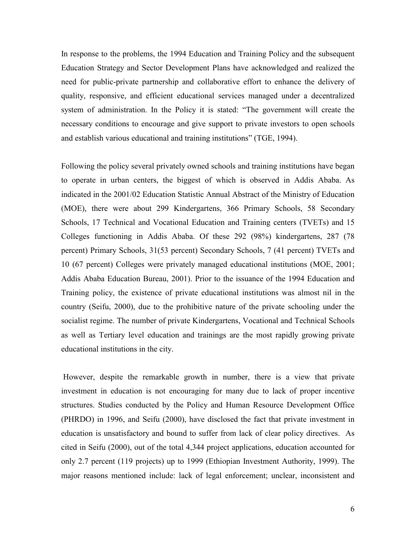In response to the problems, the 1994 Education and Training Policy and the subsequent Education Strategy and Sector Development Plans have acknowledged and realized the need for public-private partnership and collaborative effort to enhance the delivery of quality, responsive, and efficient educational services managed under a decentralized system of administration. In the Policy it is stated: "The government will create the necessary conditions to encourage and give support to private investors to open schools and establish various educational and training institutions" (TGE, 1994).

Following the policy several privately owned schools and training institutions have began to operate in urban centers, the biggest of which is observed in Addis Ababa. As indicated in the 2001/02 Education Statistic Annual Abstract of the Ministry of Education (MOE), there were about 299 Kindergartens, 366 Primary Schools, 58 Secondary Schools, 17 Technical and Vocational Education and Training centers (TVETs) and 15 Colleges functioning in Addis Ababa. Of these 292 (98%) kindergartens, 287 (78 percent) Primary Schools, 31(53 percent) Secondary Schools, 7 (41 percent) TVETs and 10 (67 percent) Colleges were privately managed educational institutions (MOE, 2001; Addis Ababa Education Bureau, 2001). Prior to the issuance of the 1994 Education and Training policy, the existence of private educational institutions was almost nil in the country (Seifu, 2000), due to the prohibitive nature of the private schooling under the socialist regime. The number of private Kindergartens, Vocational and Technical Schools as well as Tertiary level education and trainings are the most rapidly growing private educational institutions in the city.

 However, despite the remarkable growth in number, there is a view that private investment in education is not encouraging for many due to lack of proper incentive structures. Studies conducted by the Policy and Human Resource Development Office (PHRDO) in 1996, and Seifu (2000), have disclosed the fact that private investment in education is unsatisfactory and bound to suffer from lack of clear policy directives. As cited in Seifu (2000), out of the total 4,344 project applications, education accounted for only 2.7 percent (119 projects) up to 1999 (Ethiopian Investment Authority, 1999). The major reasons mentioned include: lack of legal enforcement; unclear, inconsistent and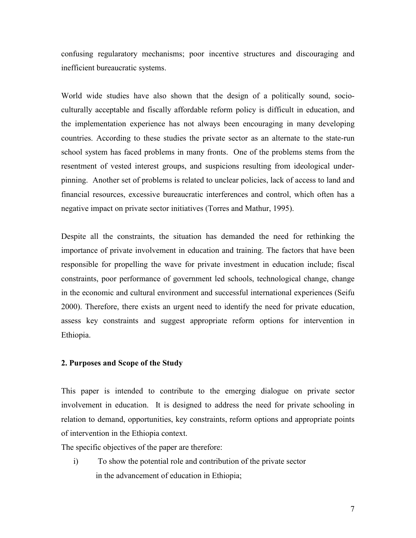confusing regularatory mechanisms; poor incentive structures and discouraging and inefficient bureaucratic systems.

World wide studies have also shown that the design of a politically sound, socioculturally acceptable and fiscally affordable reform policy is difficult in education, and the implementation experience has not always been encouraging in many developing countries. According to these studies the private sector as an alternate to the state-run school system has faced problems in many fronts. One of the problems stems from the resentment of vested interest groups, and suspicions resulting from ideological underpinning. Another set of problems is related to unclear policies, lack of access to land and financial resources, excessive bureaucratic interferences and control, which often has a negative impact on private sector initiatives (Torres and Mathur, 1995).

Despite all the constraints, the situation has demanded the need for rethinking the importance of private involvement in education and training. The factors that have been responsible for propelling the wave for private investment in education include; fiscal constraints, poor performance of government led schools, technological change, change in the economic and cultural environment and successful international experiences (Seifu 2000). Therefore, there exists an urgent need to identify the need for private education, assess key constraints and suggest appropriate reform options for intervention in Ethiopia.

#### 2. Purposes and Scope of the Study

This paper is intended to contribute to the emerging dialogue on private sector involvement in education. It is designed to address the need for private schooling in relation to demand, opportunities, key constraints, reform options and appropriate points of intervention in the Ethiopia context.

The specific objectives of the paper are therefore:

i) To show the potential role and contribution of the private sector in the advancement of education in Ethiopia;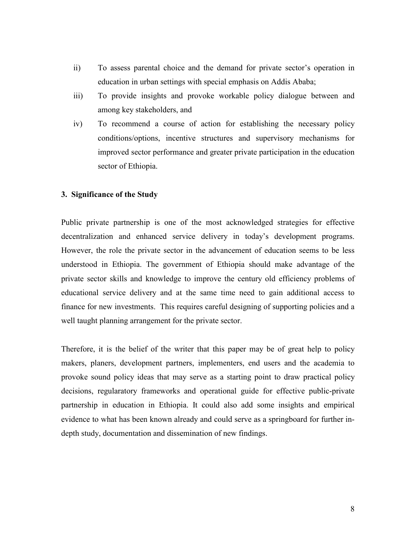- ii) To assess parental choice and the demand for private sector's operation in education in urban settings with special emphasis on Addis Ababa;
- iii) To provide insights and provoke workable policy dialogue between and among key stakeholders, and
- iv) To recommend a course of action for establishing the necessary policy conditions/options, incentive structures and supervisory mechanisms for improved sector performance and greater private participation in the education sector of Ethiopia.

# 3. Significance of the Study

Public private partnership is one of the most acknowledged strategies for effective decentralization and enhanced service delivery in today's development programs. However, the role the private sector in the advancement of education seems to be less understood in Ethiopia. The government of Ethiopia should make advantage of the private sector skills and knowledge to improve the century old efficiency problems of educational service delivery and at the same time need to gain additional access to finance for new investments. This requires careful designing of supporting policies and a well taught planning arrangement for the private sector.

Therefore, it is the belief of the writer that this paper may be of great help to policy makers, planers, development partners, implementers, end users and the academia to provoke sound policy ideas that may serve as a starting point to draw practical policy decisions, regularatory frameworks and operational guide for effective public-private partnership in education in Ethiopia. It could also add some insights and empirical evidence to what has been known already and could serve as a springboard for further indepth study, documentation and dissemination of new findings.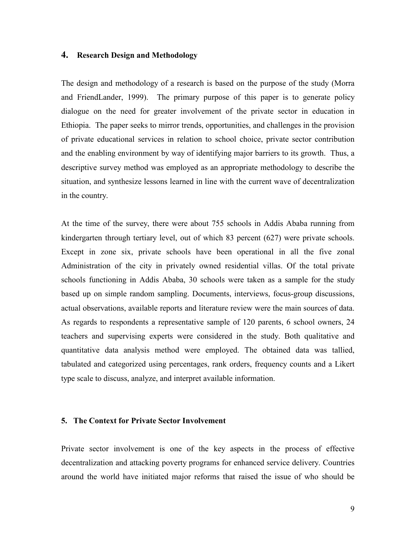#### 4. Research Design and Methodology

The design and methodology of a research is based on the purpose of the study (Morra and FriendLander, 1999). The primary purpose of this paper is to generate policy dialogue on the need for greater involvement of the private sector in education in Ethiopia. The paper seeks to mirror trends, opportunities, and challenges in the provision of private educational services in relation to school choice, private sector contribution and the enabling environment by way of identifying major barriers to its growth. Thus, a descriptive survey method was employed as an appropriate methodology to describe the situation, and synthesize lessons learned in line with the current wave of decentralization in the country.

At the time of the survey, there were about 755 schools in Addis Ababa running from kindergarten through tertiary level, out of which 83 percent (627) were private schools. Except in zone six, private schools have been operational in all the five zonal Administration of the city in privately owned residential villas. Of the total private schools functioning in Addis Ababa, 30 schools were taken as a sample for the study based up on simple random sampling. Documents, interviews, focus-group discussions, actual observations, available reports and literature review were the main sources of data. As regards to respondents a representative sample of 120 parents, 6 school owners, 24 teachers and supervising experts were considered in the study. Both qualitative and quantitative data analysis method were employed. The obtained data was tallied, tabulated and categorized using percentages, rank orders, frequency counts and a Likert type scale to discuss, analyze, and interpret available information.

#### 5. The Context for Private Sector Involvement

Private sector involvement is one of the key aspects in the process of effective decentralization and attacking poverty programs for enhanced service delivery. Countries around the world have initiated major reforms that raised the issue of who should be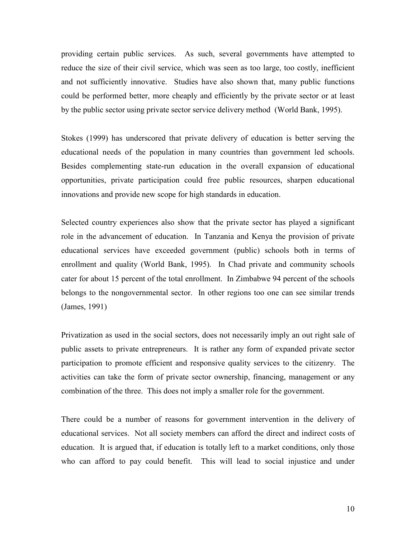providing certain public services. As such, several governments have attempted to reduce the size of their civil service, which was seen as too large, too costly, inefficient and not sufficiently innovative. Studies have also shown that, many public functions could be performed better, more cheaply and efficiently by the private sector or at least by the public sector using private sector service delivery method (World Bank, 1995).

Stokes (1999) has underscored that private delivery of education is better serving the educational needs of the population in many countries than government led schools. Besides complementing state-run education in the overall expansion of educational opportunities, private participation could free public resources, sharpen educational innovations and provide new scope for high standards in education.

Selected country experiences also show that the private sector has played a significant role in the advancement of education. In Tanzania and Kenya the provision of private educational services have exceeded government (public) schools both in terms of enrollment and quality (World Bank, 1995). In Chad private and community schools cater for about 15 percent of the total enrollment. In Zimbabwe 94 percent of the schools belongs to the nongovernmental sector. In other regions too one can see similar trends (James, 1991)

Privatization as used in the social sectors, does not necessarily imply an out right sale of public assets to private entrepreneurs. It is rather any form of expanded private sector participation to promote efficient and responsive quality services to the citizenry. The activities can take the form of private sector ownership, financing, management or any combination of the three. This does not imply a smaller role for the government.

There could be a number of reasons for government intervention in the delivery of educational services. Not all society members can afford the direct and indirect costs of education. It is argued that, if education is totally left to a market conditions, only those who can afford to pay could benefit. This will lead to social injustice and under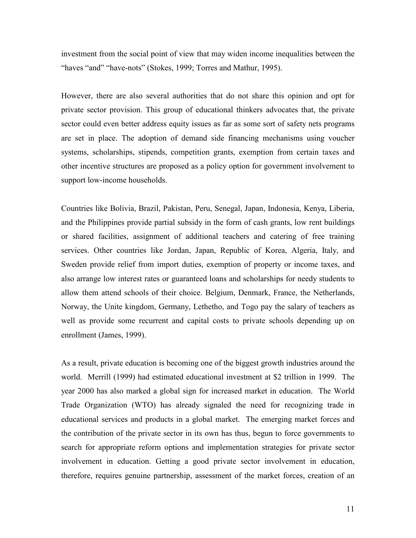investment from the social point of view that may widen income inequalities between the "haves "and" "have-nots" (Stokes, 1999; Torres and Mathur, 1995).

However, there are also several authorities that do not share this opinion and opt for private sector provision. This group of educational thinkers advocates that, the private sector could even better address equity issues as far as some sort of safety nets programs are set in place. The adoption of demand side financing mechanisms using voucher systems, scholarships, stipends, competition grants, exemption from certain taxes and other incentive structures are proposed as a policy option for government involvement to support low-income households.

Countries like Bolivia, Brazil, Pakistan, Peru, Senegal, Japan, Indonesia, Kenya, Liberia, and the Philippines provide partial subsidy in the form of cash grants, low rent buildings or shared facilities, assignment of additional teachers and catering of free training services. Other countries like Jordan, Japan, Republic of Korea, Algeria, Italy, and Sweden provide relief from import duties, exemption of property or income taxes, and also arrange low interest rates or guaranteed loans and scholarships for needy students to allow them attend schools of their choice. Belgium, Denmark, France, the Netherlands, Norway, the Unite kingdom, Germany, Lethetho, and Togo pay the salary of teachers as well as provide some recurrent and capital costs to private schools depending up on enrollment (James, 1999).

As a result, private education is becoming one of the biggest growth industries around the world. Merrill (1999) had estimated educational investment at \$2 trillion in 1999. The year 2000 has also marked a global sign for increased market in education. The World Trade Organization (WTO) has already signaled the need for recognizing trade in educational services and products in a global market. The emerging market forces and the contribution of the private sector in its own has thus, begun to force governments to search for appropriate reform options and implementation strategies for private sector involvement in education. Getting a good private sector involvement in education, therefore, requires genuine partnership, assessment of the market forces, creation of an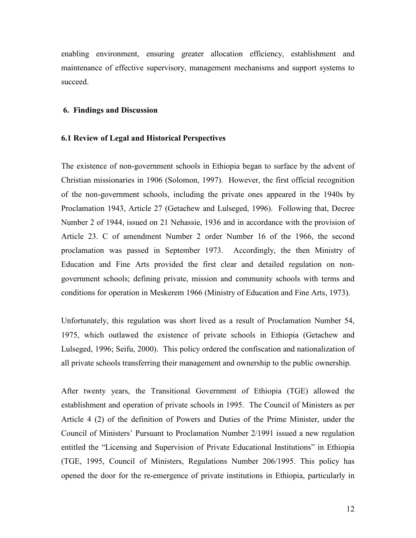enabling environment, ensuring greater allocation efficiency, establishment and maintenance of effective supervisory, management mechanisms and support systems to succeed.

#### 6. Findings and Discussion

#### 6.1 Review of Legal and Historical Perspectives

The existence of non-government schools in Ethiopia began to surface by the advent of Christian missionaries in 1906 (Solomon, 1997). However, the first official recognition of the non-government schools, including the private ones appeared in the 1940s by Proclamation 1943, Article 27 (Getachew and Lulseged, 1996). Following that, Decree Number 2 of 1944, issued on 21 Nehassie, 1936 and in accordance with the provision of Article 23. C of amendment Number 2 order Number 16 of the 1966, the second proclamation was passed in September 1973. Accordingly, the then Ministry of Education and Fine Arts provided the first clear and detailed regulation on nongovernment schools; defining private, mission and community schools with terms and conditions for operation in Meskerem 1966 (Ministry of Education and Fine Arts, 1973).

Unfortunately, this regulation was short lived as a result of Proclamation Number 54, 1975, which outlawed the existence of private schools in Ethiopia (Getachew and Lulseged, 1996; Seifu, 2000). This policy ordered the confiscation and nationalization of all private schools transferring their management and ownership to the public ownership.

After twenty years, the Transitional Government of Ethiopia (TGE) allowed the establishment and operation of private schools in 1995. The Council of Ministers as per Article 4 (2) of the definition of Powers and Duties of the Prime Minister, under the Council of Ministers' Pursuant to Proclamation Number 2/1991 issued a new regulation entitled the "Licensing and Supervision of Private Educational Institutions" in Ethiopia (TGE, 1995, Council of Ministers, Regulations Number 206/1995. This policy has opened the door for the re-emergence of private institutions in Ethiopia, particularly in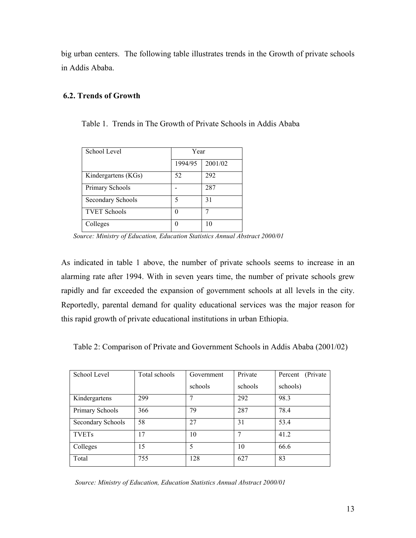big urban centers. The following table illustrates trends in the Growth of private schools in Addis Ababa.

# 6.2. Trends of Growth

Table 1. Trends in The Growth of Private Schools in Addis Ababa

| School Level        | Year          |         |  |
|---------------------|---------------|---------|--|
|                     | 1994/95       | 2001/02 |  |
| Kindergartens (KGs) | 52            | 292     |  |
| Primary Schools     |               | 287     |  |
| Secondary Schools   | 5             | 31      |  |
| <b>TVET Schools</b> | $\mathcal{O}$ |         |  |
| Colleges            |               | 10      |  |

Source: Ministry of Education, Education Statistics Annual Abstract 2000/01

As indicated in table 1 above, the number of private schools seems to increase in an alarming rate after 1994. With in seven years time, the number of private schools grew rapidly and far exceeded the expansion of government schools at all levels in the city. Reportedly, parental demand for quality educational services was the major reason for this rapid growth of private educational institutions in urban Ethiopia.

Table 2: Comparison of Private and Government Schools in Addis Ababa (2001/02)

| School Level      | Total schools | Government | Private | (Private)<br>Percent |
|-------------------|---------------|------------|---------|----------------------|
|                   |               | schools    | schools | schools)             |
| Kindergartens     | 299           |            | 292     | 98.3                 |
| Primary Schools   | 366           | 79         | 287     | 78.4                 |
| Secondary Schools | 58            | 27         | 31      | 53.4                 |
| <b>TVETs</b>      | 17            | 10         | 7       | 41.2                 |
| Colleges          | 15            | 5          | 10      | 66.6                 |
| Total             | 755           | 128        | 627     | 83                   |

Source: Ministry of Education, Education Statistics Annual Abstract 2000/01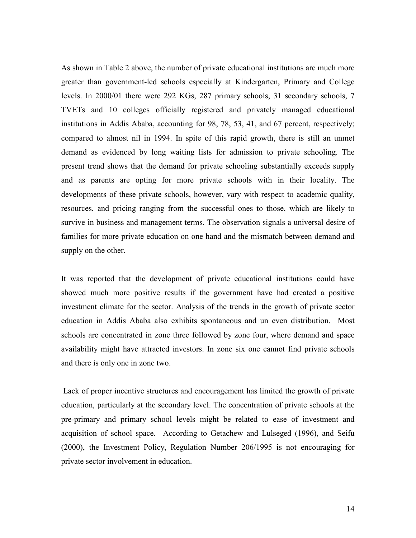As shown in Table 2 above, the number of private educational institutions are much more greater than government-led schools especially at Kindergarten, Primary and College levels. In 2000/01 there were 292 KGs, 287 primary schools, 31 secondary schools, 7 TVETs and 10 colleges officially registered and privately managed educational institutions in Addis Ababa, accounting for 98, 78, 53, 41, and 67 percent, respectively; compared to almost nil in 1994. In spite of this rapid growth, there is still an unmet demand as evidenced by long waiting lists for admission to private schooling. The present trend shows that the demand for private schooling substantially exceeds supply and as parents are opting for more private schools with in their locality. The developments of these private schools, however, vary with respect to academic quality, resources, and pricing ranging from the successful ones to those, which are likely to survive in business and management terms. The observation signals a universal desire of families for more private education on one hand and the mismatch between demand and supply on the other.

It was reported that the development of private educational institutions could have showed much more positive results if the government have had created a positive investment climate for the sector. Analysis of the trends in the growth of private sector education in Addis Ababa also exhibits spontaneous and un even distribution. Most schools are concentrated in zone three followed by zone four, where demand and space availability might have attracted investors. In zone six one cannot find private schools and there is only one in zone two.

 Lack of proper incentive structures and encouragement has limited the growth of private education, particularly at the secondary level. The concentration of private schools at the pre-primary and primary school levels might be related to ease of investment and acquisition of school space. According to Getachew and Lulseged (1996), and Seifu (2000), the Investment Policy, Regulation Number 206/1995 is not encouraging for private sector involvement in education.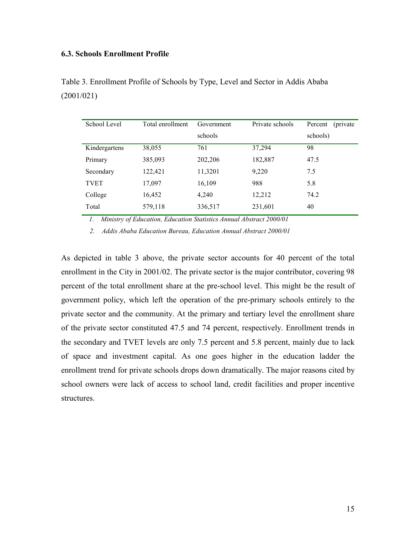#### 6.3. Schools Enrollment Profile

| School Level  | Total enrollment | Government | Private schools | Percent<br>(private) |
|---------------|------------------|------------|-----------------|----------------------|
|               |                  | schools    |                 | schools)             |
| Kindergartens | 38,055           | 761        | 37,294          | 98                   |
| Primary       | 385,093          | 202,206    | 182,887         | 47.5                 |
| Secondary     | 122,421          | 11,3201    | 9,220           | 7.5                  |
| <b>TVET</b>   | 17,097           | 16,109     | 988             | 5.8                  |
| College       | 16,452           | 4,240      | 12,212          | 74.2                 |
| Total         | 579,118          | 336,517    | 231,601         | 40                   |

Table 3. Enrollment Profile of Schools by Type, Level and Sector in Addis Ababa (2001/021)

1. Ministry of Education, Education Statistics Annual Abstract 2000/01

2. Addis Ababa Education Bureau, Education Annual Abstract 2000/01

As depicted in table 3 above, the private sector accounts for 40 percent of the total enrollment in the City in 2001/02. The private sector is the major contributor, covering 98 percent of the total enrollment share at the pre-school level. This might be the result of government policy, which left the operation of the pre-primary schools entirely to the private sector and the community. At the primary and tertiary level the enrollment share of the private sector constituted 47.5 and 74 percent, respectively. Enrollment trends in the secondary and TVET levels are only 7.5 percent and 5.8 percent, mainly due to lack of space and investment capital. As one goes higher in the education ladder the enrollment trend for private schools drops down dramatically. The major reasons cited by school owners were lack of access to school land, credit facilities and proper incentive structures.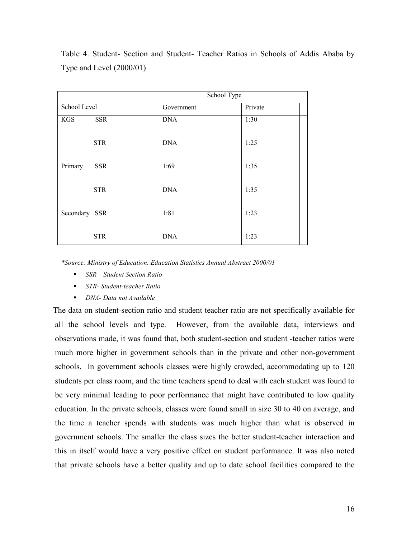|               |            | School Type |         |  |
|---------------|------------|-------------|---------|--|
| School Level  |            | Government  | Private |  |
| <b>KGS</b>    | <b>SSR</b> | <b>DNA</b>  | 1:30    |  |
|               | <b>STR</b> | <b>DNA</b>  | 1:25    |  |
| Primary       | <b>SSR</b> | 1:69        | 1:35    |  |
|               | <b>STR</b> | <b>DNA</b>  | 1:35    |  |
| Secondary SSR |            | 1:81        | 1:23    |  |
|               | <b>STR</b> | <b>DNA</b>  | 1:23    |  |

Table 4. Student- Section and Student- Teacher Ratios in Schools of Addis Ababa by Type and Level (2000/01)

\*Source: Ministry of Education. Education Statistics Annual Abstract 2000/01

- $\blacksquare$  SSR Student Section Ratio
- STR- Student-teacher Ratio
- DNA- Data not Available

 The data on student-section ratio and student teacher ratio are not specifically available for all the school levels and type. However, from the available data, interviews and observations made, it was found that, both student-section and student -teacher ratios were much more higher in government schools than in the private and other non-government schools. In government schools classes were highly crowded, accommodating up to 120 students per class room, and the time teachers spend to deal with each student was found to be very minimal leading to poor performance that might have contributed to low quality education. In the private schools, classes were found small in size 30 to 40 on average, and the time a teacher spends with students was much higher than what is observed in government schools. The smaller the class sizes the better student-teacher interaction and this in itself would have a very positive effect on student performance. It was also noted that private schools have a better quality and up to date school facilities compared to the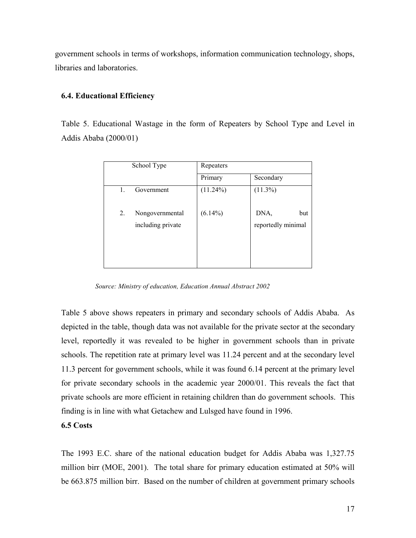government schools in terms of workshops, information communication technology, shops, libraries and laboratories.

#### 6.4. Educational Efficiency

Table 5. Educational Wastage in the form of Repeaters by School Type and Level in Addis Ababa (2000/01)

|    | School Type       | Repeaters   |                    |  |
|----|-------------------|-------------|--------------------|--|
|    |                   | Primary     | Secondary          |  |
| 1. | Government        | $(11.24\%)$ | $(11.3\%)$         |  |
| 2. | Nongovernmental   | $(6.14\%)$  | DNA,<br>but        |  |
|    | including private |             | reportedly minimal |  |

Source: Ministry of education, Education Annual Abstract 2002

Table 5 above shows repeaters in primary and secondary schools of Addis Ababa. As depicted in the table, though data was not available for the private sector at the secondary level, reportedly it was revealed to be higher in government schools than in private schools. The repetition rate at primary level was 11.24 percent and at the secondary level 11.3 percent for government schools, while it was found 6.14 percent at the primary level for private secondary schools in the academic year 2000/01. This reveals the fact that private schools are more efficient in retaining children than do government schools. This finding is in line with what Getachew and Lulsged have found in 1996.

#### 6.5 Costs

The 1993 E.C. share of the national education budget for Addis Ababa was 1,327.75 million birr (MOE, 2001). The total share for primary education estimated at 50% will be 663.875 million birr. Based on the number of children at government primary schools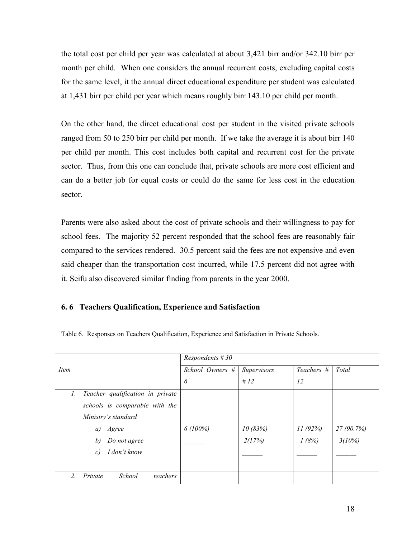the total cost per child per year was calculated at about 3,421 birr and/or 342.10 birr per month per child. When one considers the annual recurrent costs, excluding capital costs for the same level, it the annual direct educational expenditure per student was calculated at 1,431 birr per child per year which means roughly birr 143.10 per child per month.

On the other hand, the direct educational cost per student in the visited private schools ranged from 50 to 250 birr per child per month. If we take the average it is about birr 140 per child per month. This cost includes both capital and recurrent cost for the private sector. Thus, from this one can conclude that, private schools are more cost efficient and can do a better job for equal costs or could do the same for less cost in the education sector.

Parents were also asked about the cost of private schools and their willingness to pay for school fees. The majority 52 percent responded that the school fees are reasonably fair compared to the services rendered. 30.5 percent said the fees are not expensive and even said cheaper than the transportation cost incurred, while 17.5 percent did not agree with it. Seifu also discovered similar finding from parents in the year 2000.

# 6. 6 Teachers Qualification, Experience and Satisfaction

|                                                 | Respondents $#30$ |             |            |            |
|-------------------------------------------------|-------------------|-------------|------------|------------|
| Item                                            | School Owners #   | Supervisors | Teachers # | Total      |
|                                                 | 6                 | # $12$      | 12         |            |
| Teacher qualification in private<br>$l_{\cdot}$ |                   |             |            |            |
| schools is comparable with the                  |                   |             |            |            |
| Ministry's standard                             |                   |             |            |            |
| Agree<br>a)                                     | $6(100\%)$        | 10(83%)     | 11(92%)    | 27 (90.7%) |
| b)<br>Do not agree                              |                   | 2(17%)      | 1(8%)      | 3(10%)     |
| I don't know<br>c)                              |                   |             |            |            |
|                                                 |                   |             |            |            |
| School<br>2.<br>Private<br>teachers             |                   |             |            |            |

Table 6. Responses on Teachers Qualification, Experience and Satisfaction in Private Schools.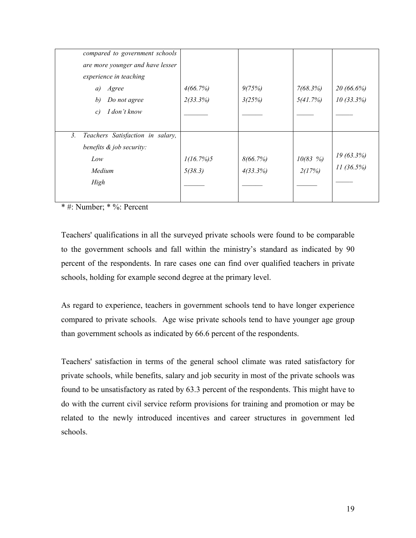| compared to government schools                       |           |          |            |           |
|------------------------------------------------------|-----------|----------|------------|-----------|
| are more younger and have lesser                     |           |          |            |           |
| experience in teaching                               |           |          |            |           |
| Agree<br>a)                                          | 4(66.7%)  | 9(75%)   | 7(68.3%)   | 20(66.6%) |
| b)<br>Do not agree                                   | 2(33.3%)  | 3(25%)   | 5(41.7%)   | 10(33.3%) |
| I don't know<br>c)                                   |           |          |            |           |
|                                                      |           |          |            |           |
| Teachers Satisfaction in salary,<br>$\mathfrak{Z}$ . |           |          |            |           |
| benefits & job security:                             |           |          |            |           |
| Low                                                  | 1(16.7%)5 | 8(66.7%) | 10(83, 96) | 19(63.3%) |
| Medium                                               | 5(38.3)   | 4(33.3%) | 2(17%)     | 11(36.5%) |
| High                                                 |           |          |            |           |
|                                                      |           |          |            |           |

\* #: Number; \* %: Percent

Teachers' qualifications in all the surveyed private schools were found to be comparable to the government schools and fall within the ministry's standard as indicated by 90 percent of the respondents. In rare cases one can find over qualified teachers in private schools, holding for example second degree at the primary level.

As regard to experience, teachers in government schools tend to have longer experience compared to private schools. Age wise private schools tend to have younger age group than government schools as indicated by 66.6 percent of the respondents.

Teachers' satisfaction in terms of the general school climate was rated satisfactory for private schools, while benefits, salary and job security in most of the private schools was found to be unsatisfactory as rated by 63.3 percent of the respondents. This might have to do with the current civil service reform provisions for training and promotion or may be related to the newly introduced incentives and career structures in government led schools.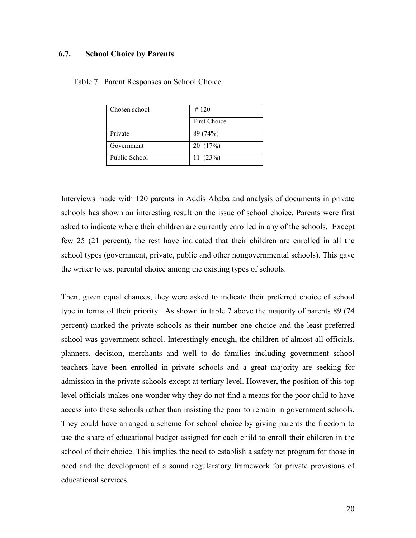# 6.7. School Choice by Parents

| Chosen school | #120                |
|---------------|---------------------|
|               | <b>First Choice</b> |
| Private       | 89 (74%)            |
| Government    | 20(17%)             |
| Public School | 11(23%)             |

#### Table 7. Parent Responses on School Choice

Interviews made with 120 parents in Addis Ababa and analysis of documents in private schools has shown an interesting result on the issue of school choice. Parents were first asked to indicate where their children are currently enrolled in any of the schools. Except few 25 (21 percent), the rest have indicated that their children are enrolled in all the school types (government, private, public and other nongovernmental schools). This gave the writer to test parental choice among the existing types of schools.

Then, given equal chances, they were asked to indicate their preferred choice of school type in terms of their priority. As shown in table 7 above the majority of parents 89 (74 percent) marked the private schools as their number one choice and the least preferred school was government school. Interestingly enough, the children of almost all officials, planners, decision, merchants and well to do families including government school teachers have been enrolled in private schools and a great majority are seeking for admission in the private schools except at tertiary level. However, the position of this top level officials makes one wonder why they do not find a means for the poor child to have access into these schools rather than insisting the poor to remain in government schools. They could have arranged a scheme for school choice by giving parents the freedom to use the share of educational budget assigned for each child to enroll their children in the school of their choice. This implies the need to establish a safety net program for those in need and the development of a sound regularatory framework for private provisions of educational services.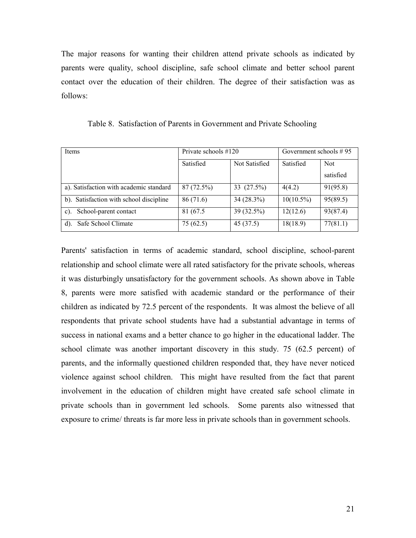The major reasons for wanting their children attend private schools as indicated by parents were quality, school discipline, safe school climate and better school parent contact over the education of their children. The degree of their satisfaction was as follows:

| Items                                   | Private schools #120 |               | Government schools $#95$ |            |
|-----------------------------------------|----------------------|---------------|--------------------------|------------|
|                                         | Satisfied            | Not Satisfied | Satisfied                | <b>Not</b> |
|                                         |                      |               |                          | satisfied  |
| a). Satisfaction with academic standard | 87 (72.5%)           | 33 (27.5%)    | 4(4.2)                   | 91(95.8)   |
| b). Satisfaction with school discipline | 86 (71.6)            | $34(28.3\%)$  | $10(10.5\%)$             | 95(89.5)   |
| School-parent contact<br>C).            | 81 (67.5)            | 39 (32.5%)    | 12(12.6)                 | 93(87.4)   |
| Safe School Climate<br>d).              | 75(62.5)             | 45(37.5)      | 18(18.9)                 | 77(81.1)   |

Table 8. Satisfaction of Parents in Government and Private Schooling

Parents' satisfaction in terms of academic standard, school discipline, school-parent relationship and school climate were all rated satisfactory for the private schools, whereas it was disturbingly unsatisfactory for the government schools. As shown above in Table 8, parents were more satisfied with academic standard or the performance of their children as indicated by 72.5 percent of the respondents. It was almost the believe of all respondents that private school students have had a substantial advantage in terms of success in national exams and a better chance to go higher in the educational ladder. The school climate was another important discovery in this study. 75 (62.5 percent) of parents, and the informally questioned children responded that, they have never noticed violence against school children. This might have resulted from the fact that parent involvement in the education of children might have created safe school climate in private schools than in government led schools. Some parents also witnessed that exposure to crime/ threats is far more less in private schools than in government schools.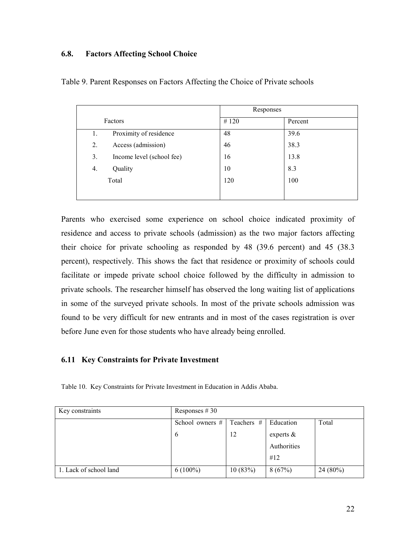# 6.8. Factors Affecting School Choice

|    |                           | Responses |         |  |
|----|---------------------------|-----------|---------|--|
|    | Factors                   | #120      | Percent |  |
| 1. | Proximity of residence    | 48        | 39.6    |  |
| 2. | Access (admission)        | 46        | 38.3    |  |
| 3. | Income level (school fee) | 16        | 13.8    |  |
| 4. | Quality                   | 10        | 8.3     |  |
|    | Total                     | 120       | 100     |  |
|    |                           |           |         |  |

Table 9. Parent Responses on Factors Affecting the Choice of Private schools

Parents who exercised some experience on school choice indicated proximity of residence and access to private schools (admission) as the two major factors affecting their choice for private schooling as responded by 48 (39.6 percent) and 45 (38.3 percent), respectively. This shows the fact that residence or proximity of schools could facilitate or impede private school choice followed by the difficulty in admission to private schools. The researcher himself has observed the long waiting list of applications in some of the surveyed private schools. In most of the private schools admission was found to be very difficult for new entrants and in most of the cases registration is over before June even for those students who have already being enrolled.

# 6.11 Key Constraints for Private Investment

Table 10. Key Constraints for Private Investment in Education in Addis Ababa.

| Key constraints        | Responses $#30$                                       |         |              |            |  |  |
|------------------------|-------------------------------------------------------|---------|--------------|------------|--|--|
|                        | Teachers #<br>Education<br>Total<br>School owners $#$ |         |              |            |  |  |
|                        | 6                                                     | 12      | experts $\&$ |            |  |  |
|                        |                                                       |         | Authorities  |            |  |  |
|                        |                                                       |         | #12          |            |  |  |
| 1. Lack of school land | $6(100\%)$                                            | 10(83%) | 8(67%)       | $24(80\%)$ |  |  |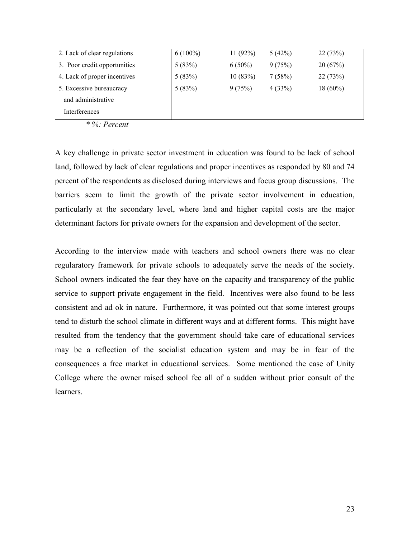| 2. Lack of clear regulations | $6(100\%)$ | 11 $(92%)$ | 5(42%) | 22(73%)    |
|------------------------------|------------|------------|--------|------------|
| 3. Poor credit opportunities | 5(83%)     | $6(50\%)$  | 9(75%) | 20(67%)    |
| 4. Lack of proper incentives | 5(83%)     | 10(83%)    | 7(58%) | 22(73%)    |
| 5. Excessive bureaucracy     | 5(83%)     | 9(75%)     | 4(33%) | $18(60\%)$ |
| and administrative           |            |            |        |            |
| Interferences                |            |            |        |            |

 $\overline{\ast}$  %: Percent

A key challenge in private sector investment in education was found to be lack of school land, followed by lack of clear regulations and proper incentives as responded by 80 and 74 percent of the respondents as disclosed during interviews and focus group discussions. The barriers seem to limit the growth of the private sector involvement in education, particularly at the secondary level, where land and higher capital costs are the major determinant factors for private owners for the expansion and development of the sector.

According to the interview made with teachers and school owners there was no clear regularatory framework for private schools to adequately serve the needs of the society. School owners indicated the fear they have on the capacity and transparency of the public service to support private engagement in the field. Incentives were also found to be less consistent and ad ok in nature. Furthermore, it was pointed out that some interest groups tend to disturb the school climate in different ways and at different forms. This might have resulted from the tendency that the government should take care of educational services may be a reflection of the socialist education system and may be in fear of the consequences a free market in educational services. Some mentioned the case of Unity College where the owner raised school fee all of a sudden without prior consult of the learners.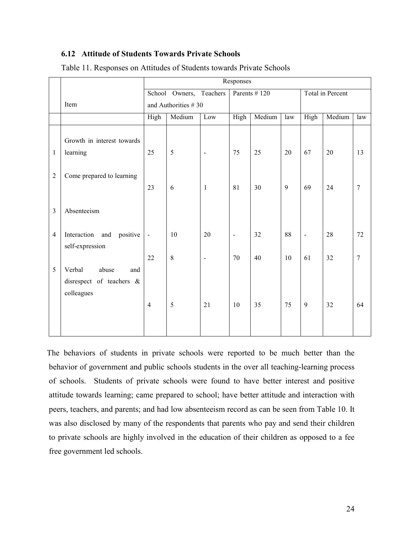# 6.12 Attitude of Students Towards Private Schools

|                |                                                                  | Responses               |         |                              |                |        |                |                          |        |                |
|----------------|------------------------------------------------------------------|-------------------------|---------|------------------------------|----------------|--------|----------------|--------------------------|--------|----------------|
|                |                                                                  | School Owners, Teachers |         |                              | Parents #120   |        |                | <b>Total</b> in Percent  |        |                |
|                | Item                                                             | and Authorities #30     |         |                              |                |        |                |                          |        |                |
|                |                                                                  | High                    | Medium  | Low                          | High           | Medium | $\overline{a}$ | High                     | Medium | law            |
| $\mathbf{1}$   | Growth in interest towards<br>learning                           | 25                      | 5       | $\qquad \qquad \blacksquare$ | 75             | 25     | 20             | 67                       | 20     | 13             |
| $\overline{2}$ | Come prepared to learning                                        | 23                      | 6       | $\mathbf{1}$                 | 81             | 30     | 9              | 69                       | 24     | $\overline{7}$ |
| $\overline{3}$ | Absenteeism                                                      |                         |         |                              |                |        |                |                          |        |                |
| 4              | Interaction and<br>positive<br>self-expression                   | $\blacksquare$          | 10      | 20                           | $\blacksquare$ | 32     | 88             | $\overline{\phantom{a}}$ | 28     | 72             |
|                |                                                                  | 22                      | $\,8\,$ | $\qquad \qquad \blacksquare$ | 70             | 40     | 10             | 61                       | 32     | $\overline{7}$ |
| 5              | Verbal<br>abuse<br>and<br>disrespect of teachers &<br>colleagues |                         |         |                              |                |        |                |                          |        |                |
|                |                                                                  | $\overline{4}$          | 5       | 21                           | 10             | 35     | 75             | 9                        | 32     | 64             |

Table 11. Responses on Attitudes of Students towards Private Schools

 The behaviors of students in private schools were reported to be much better than the behavior of government and public schools students in the over all teaching-learning process of schools. Students of private schools were found to have better interest and positive attitude towards learning; came prepared to school; have better attitude and interaction with peers, teachers, and parents; and had low absenteeism record as can be seen from Table 10. It was also disclosed by many of the respondents that parents who pay and send their children to private schools are highly involved in the education of their children as opposed to a fee free government led schools.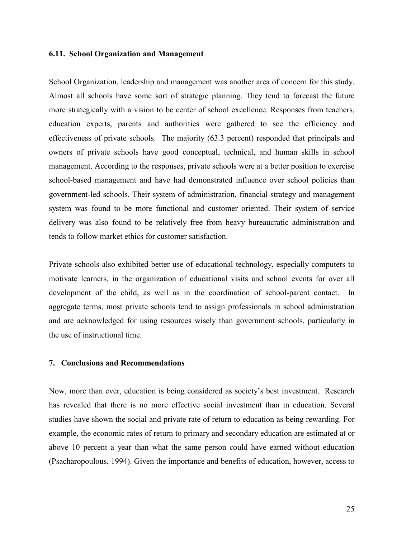#### 6.11. School Organization and Management

School Organization, leadership and management was another area of concern for this study. Almost all schools have some sort of strategic planning. They tend to forecast the future more strategically with a vision to be center of school excellence. Responses from teachers, education experts, parents and authorities were gathered to see the efficiency and effectiveness of private schools. The majority (63.3 percent) responded that principals and owners of private schools have good conceptual, technical, and human skills in school management. According to the responses, private schools were at a better position to exercise school-based management and have had demonstrated influence over school policies than government-led schools. Their system of administration, financial strategy and management system was found to be more functional and customer oriented. Their system of service delivery was also found to be relatively free from heavy bureaucratic administration and tends to follow market ethics for customer satisfaction.

Private schools also exhibited better use of educational technology, especially computers to motivate learners, in the organization of educational visits and school events for over all development of the child, as well as in the coordination of school-parent contact. In aggregate terms, most private schools tend to assign professionals in school administration and are acknowledged for using resources wisely than government schools, particularly in the use of instructional time.

# 7. Conclusions and Recommendations

Now, more than ever, education is being considered as society's best investment. Research has revealed that there is no more effective social investment than in education. Several studies have shown the social and private rate of return to education as being rewarding. For example, the economic rates of return to primary and secondary education are estimated at or above 10 percent a year than what the same person could have earned without education (Psacharopoulous, 1994). Given the importance and benefits of education, however, access to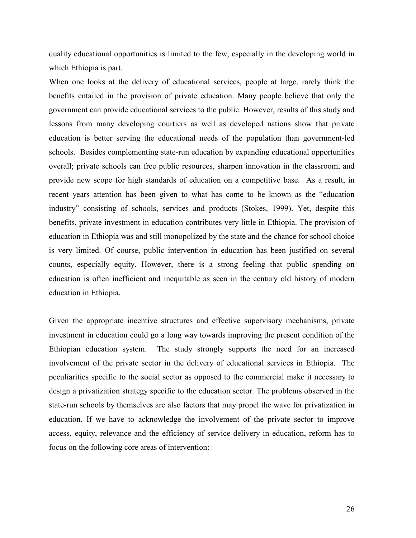quality educational opportunities is limited to the few, especially in the developing world in which Ethiopia is part.

When one looks at the delivery of educational services, people at large, rarely think the benefits entailed in the provision of private education. Many people believe that only the government can provide educational services to the public. However, results of this study and lessons from many developing courtiers as well as developed nations show that private education is better serving the educational needs of the population than government-led schools. Besides complementing state-run education by expanding educational opportunities overall; private schools can free public resources, sharpen innovation in the classroom, and provide new scope for high standards of education on a competitive base. As a result, in recent years attention has been given to what has come to be known as the "education industry" consisting of schools, services and products (Stokes, 1999). Yet, despite this benefits, private investment in education contributes very little in Ethiopia. The provision of education in Ethiopia was and still monopolized by the state and the chance for school choice is very limited. Of course, public intervention in education has been justified on several counts, especially equity. However, there is a strong feeling that public spending on education is often inefficient and inequitable as seen in the century old history of modern education in Ethiopia.

Given the appropriate incentive structures and effective supervisory mechanisms, private investment in education could go a long way towards improving the present condition of the Ethiopian education system. The study strongly supports the need for an increased involvement of the private sector in the delivery of educational services in Ethiopia. The peculiarities specific to the social sector as opposed to the commercial make it necessary to design a privatization strategy specific to the education sector. The problems observed in the state-run schools by themselves are also factors that may propel the wave for privatization in education. If we have to acknowledge the involvement of the private sector to improve access, equity, relevance and the efficiency of service delivery in education, reform has to focus on the following core areas of intervention: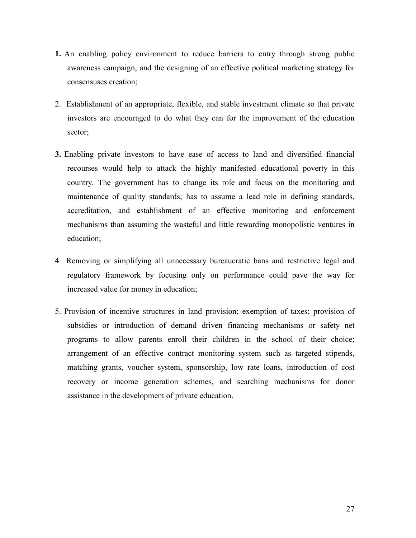- 1. An enabling policy environment to reduce barriers to entry through strong public awareness campaign, and the designing of an effective political marketing strategy for consensuses creation;
- 2. Establishment of an appropriate, flexible, and stable investment climate so that private investors are encouraged to do what they can for the improvement of the education sector;
- 3. Enabling private investors to have ease of access to land and diversified financial recourses would help to attack the highly manifested educational poverty in this country. The government has to change its role and focus on the monitoring and maintenance of quality standards; has to assume a lead role in defining standards, accreditation, and establishment of an effective monitoring and enforcement mechanisms than assuming the wasteful and little rewarding monopolistic ventures in education;
- 4. Removing or simplifying all unnecessary bureaucratic bans and restrictive legal and regulatory framework by focusing only on performance could pave the way for increased value for money in education;
- 5. Provision of incentive structures in land provision; exemption of taxes; provision of subsidies or introduction of demand driven financing mechanisms or safety net programs to allow parents enroll their children in the school of their choice; arrangement of an effective contract monitoring system such as targeted stipends, matching grants, voucher system, sponsorship, low rate loans, introduction of cost recovery or income generation schemes, and searching mechanisms for donor assistance in the development of private education.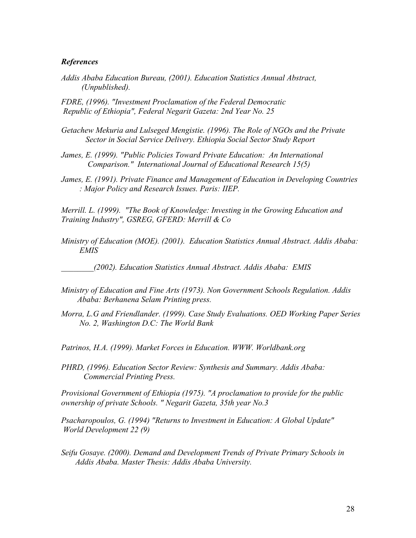#### **References**

Addis Ababa Education Bureau, (2001). Education Statistics Annual Abstract, (Unpublished).

FDRE, (1996). "Investment Proclamation of the Federal Democratic Republic of Ethiopia", Federal Negarit Gazeta: 2nd Year No. 25

- Getachew Mekuria and Lulseged Mengistie. (1996). The Role of NGOs and the Private Sector in Social Service Delivery. Ethiopia Social Sector Study Report
- James, E. (1999). "Public Policies Toward Private Education: An International Comparison." International Journal of Educational Research 15(5)
- James, E. (1991). Private Finance and Management of Education in Developing Countries : Major Policy and Research Issues. Paris: IIEP.

Merrill. L. (1999). "The Book of Knowledge: Investing in the Growing Education and Training Industry", GSREG, GFERD: Merrill & Co

Ministry of Education (MOE). (2001). Education Statistics Annual Abstract. Addis Ababa: EMIS

\_\_\_\_\_\_\_\_(2002). Education Statistics Annual Abstract. Addis Ababa: EMIS

- Ministry of Education and Fine Arts (1973). Non Government Schools Regulation. Addis Ababa: Berhanena Selam Printing press.
- Morra, L.G and Friendlander. (1999). Case Study Evaluations. OED Working Paper Series No. 2, Washington D.C: The World Bank

Patrinos, H.A. (1999). Market Forces in Education. WWW. Worldbank.org

PHRD, (1996). Education Sector Review: Synthesis and Summary. Addis Ababa: Commercial Printing Press.

Provisional Government of Ethiopia (1975). "A proclamation to provide for the public ownership of private Schools. " Negarit Gazeta, 35th year No.3

Psacharopoulos, G. (1994) "Returns to Investment in Education: A Global Update" World Development 22 (9)

Seifu Gosaye. (2000). Demand and Development Trends of Private Primary Schools in Addis Ababa. Master Thesis: Addis Ababa University.